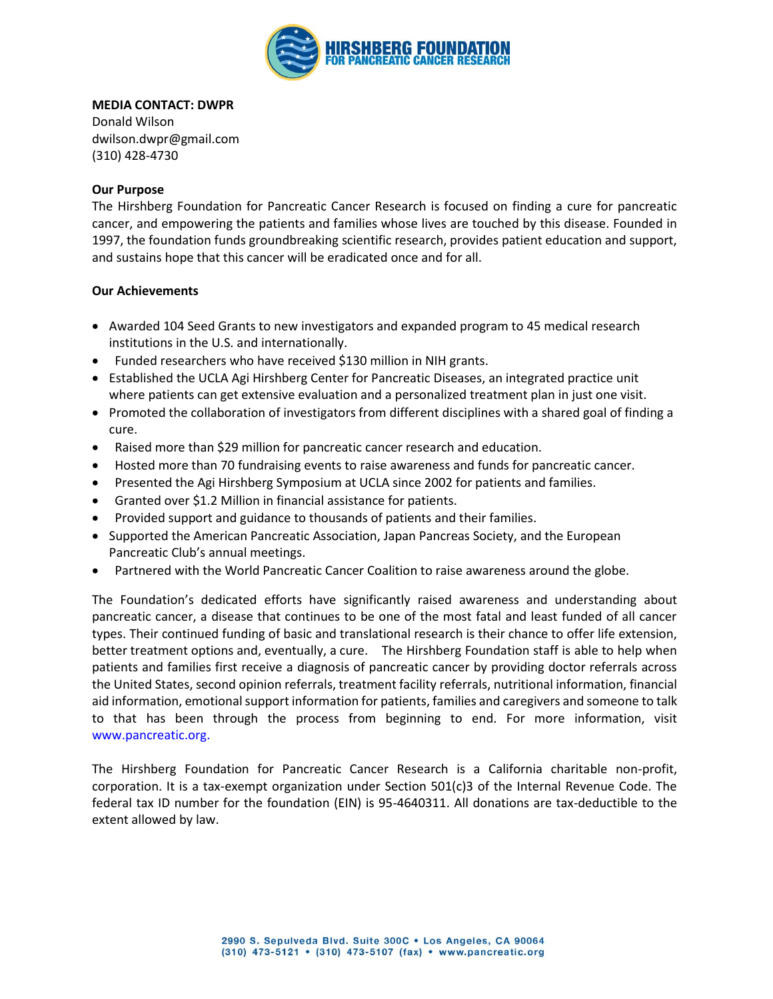

## **MEDIA CONTACT: DWPR**

Donald Wilson dwilson.dwpr@gmail.com (310) 428-4730

## **Our Purpose**

The Hirshberg Foundation for Pancreatic Cancer Research is focused on finding a cure for pancreatic cancer, and empowering the patients and families whose lives are touched by this disease. Founded in 1997, the foundation funds groundbreaking scientific research, provides patient education and support, and sustains hope that this cancer will be eradicated once and for all.

## **Our Achievements**

- Awarded 104 Seed Grants to new investigators and expanded program to 45 medical research institutions in the U.S. and internationally.
- Funded researchers who have received \$130 million in NIH grants.
- Established the UCLA Agi Hirshberg Center for Pancreatic Diseases, an integrated practice unit where patients can get extensive evaluation and a personalized treatment plan in just one visit.
- Promoted the collaboration of investigators from different disciplines with a shared goal of finding a cure.
- Raised more than \$29 million for pancreatic cancer research and education.
- Hosted more than 70 fundraising events to raise awareness and funds for pancreatic cancer.
- Presented the Agi Hirshberg Symposium at UCLA since 2002 for patients and families.
- Granted over \$1.2 Million in financial assistance for patients.
- Provided support and guidance to thousands of patients and their families.
- Supported the American Pancreatic Association, Japan Pancreas Society, and the European Pancreatic Club's annual meetings.
- Partnered with the World Pancreatic Cancer Coalition to raise awareness around the globe.

The Foundation's dedicated efforts have significantly raised awareness and understanding about pancreatic cancer, a disease that continues to be one of the most fatal and least funded of all cancer types. Their continued funding of basic and translational research is their chance to offer life extension, better treatment options and, eventually, a cure. The Hirshberg Foundation staff is able to help when patients and families first receive a diagnosis of pancreatic cancer by providing doctor referrals across the United States, second opinion referrals, treatment facility referrals, nutritional information, financial aid information, emotional support information for patients, families and caregivers and someone to talk to that has been through the process from beginning to end. For more information, visit www.pancreatic.org.

The Hirshberg Foundation for Pancreatic Cancer Research is a California charitable non-profit, corporation. It is a tax-exempt organization under Section 501(c)3 of the Internal Revenue Code. The federal tax ID number for the foundation (EIN) is 95-4640311. All donations are tax-deductible to the extent allowed by law.